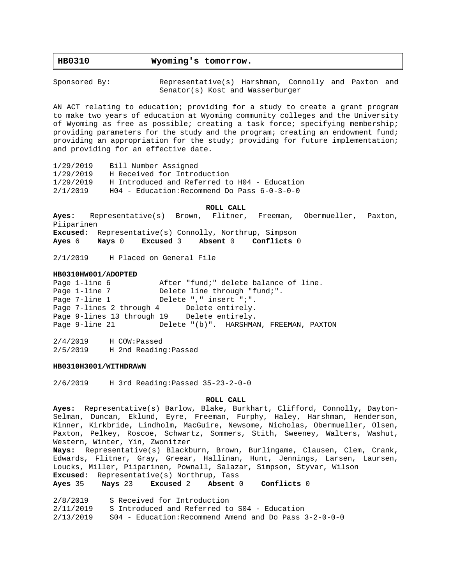# **HB0310 Wyoming's tomorrow.**

Sponsored By: The Representative(s) Harshman, Connolly and Paxton and Senator(s) Kost and Wasserburger

AN ACT relating to education; providing for a study to create a grant program to make two years of education at Wyoming community colleges and the University of Wyoming as free as possible; creating a task force; specifying membership; providing parameters for the study and the program; creating an endowment fund; providing an appropriation for the study; providing for future implementation; and providing for an effective date.

1/29/2019 Bill Number Assigned 1/29/2019 H Received for Introduction 1/29/2019 H Introduced and Referred to H04 - Education 2/1/2019 H04 - Education:Recommend Do Pass 6-0-3-0-0

**ROLL CALL**

**Ayes:** Representative(s) Brown, Flitner, Freeman, Obermueller, Paxton, Piiparinen **Excused:** Representative(s) Connolly, Northrup, Simpson

**Ayes** 6 **Nays** 0 **Excused** 3 **Absent** 0 **Conflicts** 0

2/1/2019 H Placed on General File

#### **HB0310HW001/ADOPTED**

Page 1-line 6  $\overline{a}$  After "fund;" delete balance of line. Page 1-line 7 Delete line through "fund;". Page 7-line 1 Delete ", " insert "; ". Page 7-lines 2 through 4 Delete entirely. Page 9-lines 13 through 19 Delete entirely. Page 9-line 21 Delete "(b)". HARSHMAN, FREEMAN, PAXTON

2/4/2019 H COW:Passed 2/5/2019 H 2nd Reading:Passed

## **HB0310H3001/WITHDRAWN**

2/6/2019 H 3rd Reading:Passed 35-23-2-0-0

#### **ROLL CALL**

**Ayes:** Representative(s) Barlow, Blake, Burkhart, Clifford, Connolly, Dayton-Selman, Duncan, Eklund, Eyre, Freeman, Furphy, Haley, Harshman, Henderson, Kinner, Kirkbride, Lindholm, MacGuire, Newsome, Nicholas, Obermueller, Olsen, Paxton, Pelkey, Roscoe, Schwartz, Sommers, Stith, Sweeney, Walters, Washut, Western, Winter, Yin, Zwonitzer **Nays:** Representative(s) Blackburn, Brown, Burlingame, Clausen, Clem, Crank, Edwards, Flitner, Gray, Greear, Hallinan, Hunt, Jennings, Larsen, Laursen, Loucks, Miller, Piiparinen, Pownall, Salazar, Simpson, Styvar, Wilson **Excused:** Representative(s) Northrup, Tass **Ayes** 35 **Nays** 23 **Excused** 2 **Absent** 0 **Conflicts** 0

2/8/2019 S Received for Introduction 2/11/2019 S Introduced and Referred to S04 - Education 2/13/2019 S04 - Education:Recommend Amend and Do Pass 3-2-0-0-0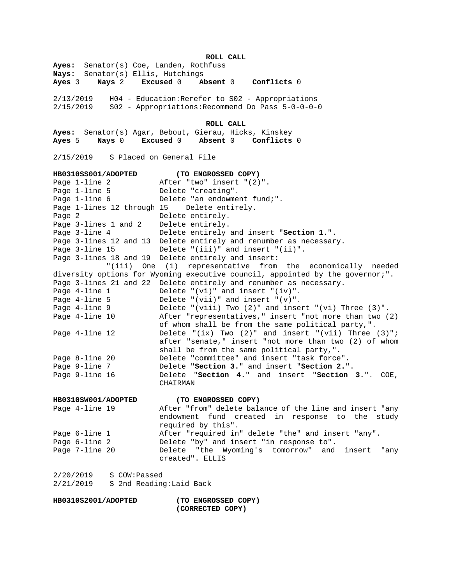**ROLL CALL**

**Ayes:** Senator(s) Coe, Landen, Rothfuss **Nays:** Senator(s) Ellis, Hutchings **Ayes** 3 **Nays** 2 **Excused** 0 **Absent** 0 **Conflicts** 0 2/13/2019 H04 - Education:Rerefer to S02 - Appropriations 2/15/2019 S02 - Appropriations:Recommend Do Pass 5-0-0-0-0 **ROLL CALL Ayes:** Senator(s) Agar, Bebout, Gierau, Hicks, Kinskey **Ayes** 5 **Nays** 0 **Excused** 0 **Absent** 0 **Conflicts** 0 2/15/2019 S Placed on General File **HB0310SS001/ADOPTED** (TO ENGROSSED COPY)<br>Page 1-line 2 after "two" insert "(2) After "two" insert "(2)". Page 1-line 5 Delete "creating". Page 1-line 6 Delete "an endowment fund;". Page 1-lines 12 through 15 Delete entirely. Page 2 Delete entirely. Page 3-lines 1 and 2 Delete entirely. Page 3-line 4 Delete entirely and insert "**Section 1.**". Page 3-lines 12 and 13 Delete entirely and renumber as necessary. Page 3-line 15 Delete "(iii)" and insert "(ii)". Page 3-lines 18 and 19 Delete entirely and insert: "(iii) One (1) representative from the economically needed diversity options for Wyoming executive council, appointed by the governor;". Page 3-lines 21 and 22 Delete entirely and renumber as necessary. Page 4-line 1 Delete "(vi)" and insert "(iv)". Page 4-line 5 Delete "(vii)" and insert "(v)". Page 4-line 9 Delete "(viii) Two (2)" and insert "(vi) Three (3)". Page 4-line 10 After "representatives," insert "not more than two (2) of whom shall be from the same political party,". Page 4-line 12 Delete "(ix) Two (2)" and insert "(vii) Three (3)"; after "senate," insert "not more than two (2) of whom shall be from the same political party,". Page 8-line 20 Delete "committee" and insert "task force". Page 9-line 7 Delete "**Section 3.**" and insert "**Section 2.**". Page 9-line 16 Delete "**Section 4.**" and insert "**Section 3.**". COE, CHAIRMAN **HB0310SW001/ADOPTED (TO ENGROSSED COPY)** Page 4-line 19 After "from" delete balance of the line and insert "any endowment fund created in response to the study required by this". Page 6-line 1 and After "required in" delete "the" and insert "any". Page 6-line 2 Delete "by" and insert "in response to". Page 7-line 20 Delete "the Wyoming's tomorrow" and insert "any created". ELLIS 2/20/2019 S COW:Passed 2/21/2019 S 2nd Reading:Laid Back

**HB0310S2001/ADOPTED (TO ENGROSSED COPY) (CORRECTED COPY)**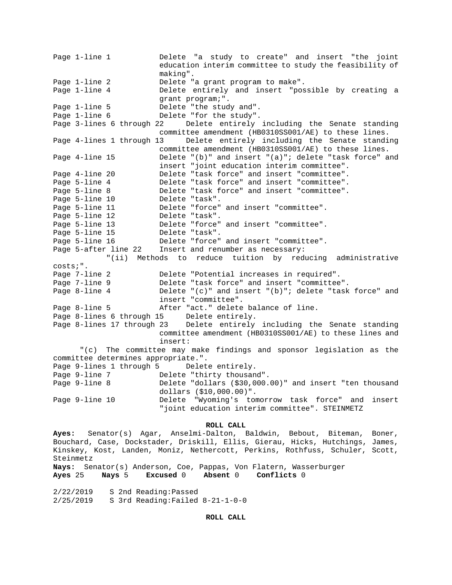Page 1-line 1 1 Delete "a study to create" and insert "the joint education interim committee to study the feasibility of making". Page 1-line 2 Delete "a grant program to make". Page 1-line 4 10 Delete entirely and insert "possible by creating a grant program;". Page 1-line 5 Delete "the study and". Page 1-line 6 Delete "for the study". Page 3-lines 6 through 22 Delete entirely including the Senate standing committee amendment (HB0310SS001/AE) to these lines. Page 4-lines 1 through 13 Delete entirely including the Senate standing committee amendment (HB0310SS001/AE) to these lines. Page 4-line 15 Delete "(b)" and insert "(a)"; delete "task force" and insert "joint education interim committee". Page 4-line 20 Delete "task force" and insert "committee". Page 5-line 4 Delete "task force" and insert "committee". Page 5-line 8 Delete "task force" and insert "committee". Page 5-line 10 Delete "task". Page 5-line 11 Delete "force" and insert "committee". Page 5-line 12 Delete "task". Page 5-line 13 Delete "force" and insert "committee". Page 5-line 15 Delete "task".<br>Page 5-line 16 Delete "force" Delete "force" and insert "committee". Page 5-after line 22 Insert and renumber as necessary: "(ii) Methods to reduce tuition by reducing administrative costs;". Page 7-line 2 Delete "Potential increases in required". Page 7-line 9 Delete "task force" and insert "committee". Page 8-line 4 Delete "(c)" and insert "(b)"; delete "task force" and insert "committee". Page 8-line 5 After "act." delete balance of line. Page 8-lines 6 through 15 Delete entirely. Page 8-lines 17 through 23 Delete entirely including the Senate standing committee amendment (HB0310SS001/AE) to these lines and insert: "(c) The committee may make findings and sponsor legislation as the committee determines appropriate.". Page 9-lines 1 through 5 Delete entirely. Page 9-line 7 Delete "thirty thousand". Page 9-line 8 Delete "dollars (\$30,000.00)" and insert "ten thousand dollars (\$10,000.00)". Page 9-line 10 Delete "Wyoming's tomorrow task force" and insert "joint education interim committee". STEINMETZ

### **ROLL CALL**

**Ayes:** Senator(s) Agar, Anselmi-Dalton, Baldwin, Bebout, Biteman, Boner, Bouchard, Case, Dockstader, Driskill, Ellis, Gierau, Hicks, Hutchings, James, Kinskey, Kost, Landen, Moniz, Nethercott, Perkins, Rothfuss, Schuler, Scott, Steinmetz

**Nays:** Senator(s) Anderson, Coe, Pappas, Von Flatern, Wasserburger **Ayes** 25 **Nays** 5 **Excused** 0 **Absent** 0 **Conflicts** 0

2/22/2019 S 2nd Reading:Passed 2/25/2019 S 3rd Reading:Failed 8-21-1-0-0